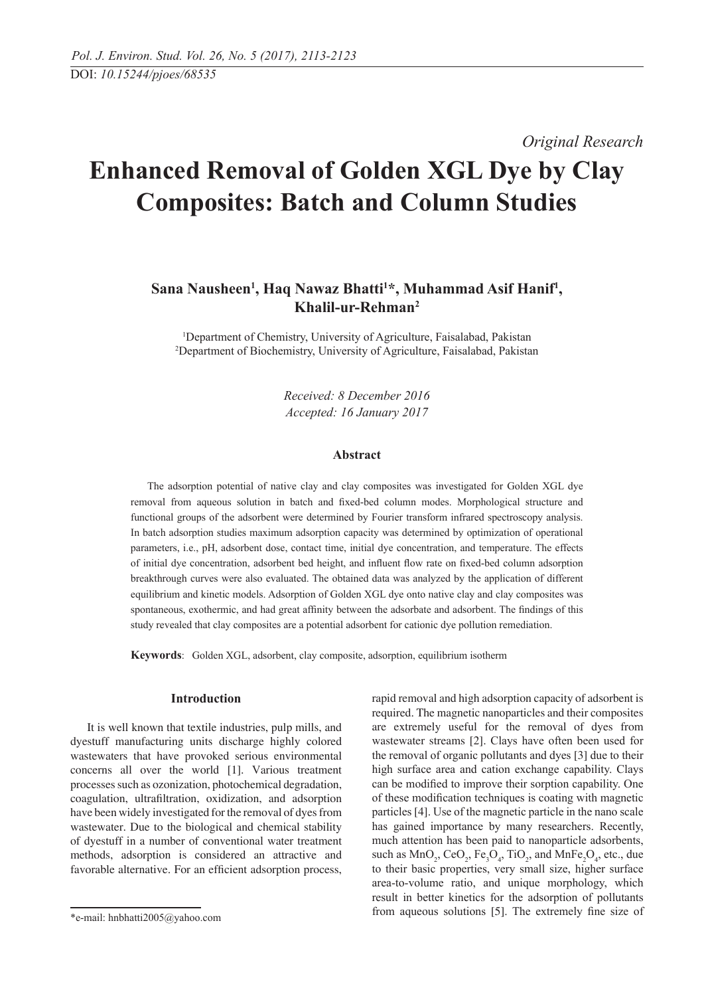*Original Research* 

# **Enhanced Removal of Golden XGL Dye by Clay Composites: Batch and Column Studies**

## Sana Nausheen<sup>1</sup>, Haq Nawaz Bhatti<sup>1\*</sup>, Muhammad Asif Hanif<sup>1</sup>, **Khalil-ur-Rehman2**

<sup>1</sup>Department of Chemistry, University of Agriculture, Faisalabad, Pakistan 2 Department of Biochemistry, University of Agriculture, Faisalabad, Pakistan

> *Received: 8 December 2016 Accepted: 16 January 2017*

## **Abstract**

The adsorption potential of native clay and clay composites was investigated for Golden XGL dye removal from aqueous solution in batch and fixed-bed column modes. Morphological structure and functional groups of the adsorbent were determined by Fourier transform infrared spectroscopy analysis. In batch adsorption studies maximum adsorption capacity was determined by optimization of operational parameters, i.e., pH, adsorbent dose, contact time, initial dye concentration, and temperature. The effects of initial dye concentration, adsorbent bed height, and influent flow rate on fixed-bed column adsorption breakthrough curves were also evaluated. The obtained data was analyzed by the application of different equilibrium and kinetic models. Adsorption of Golden XGL dye onto native clay and clay composites was spontaneous, exothermic, and had great affinity between the adsorbate and adsorbent. The findings of this study revealed that clay composites are a potential adsorbent for cationic dye pollution remediation.

**Keywords**: Golden XGL, adsorbent, clay composite, adsorption, equilibrium isotherm

## **Introduction**

It is well known that textile industries, pulp mills, and dyestuff manufacturing units discharge highly colored wastewaters that have provoked serious environmental concerns all over the world [1]. Various treatment processes such as ozonization, photochemical degradation, coagulation, ultrafiltration, oxidization, and adsorption have been widely investigated for the removal of dyes from wastewater. Due to the biological and chemical stability of dyestuff in a number of conventional water treatment methods, adsorption is considered an attractive and favorable alternative. For an efficient adsorption process,

rapid removal and high adsorption capacity of adsorbent is required. The magnetic nanoparticles and their composites are extremely useful for the removal of dyes from wastewater streams [2]. Clays have often been used for the removal of organic pollutants and dyes [3] due to their high surface area and cation exchange capability. Clays can be modified to improve their sorption capability. One of these modification techniques is coating with magnetic particles [4]. Use of the magnetic particle in the nano scale has gained importance by many researchers. Recently, much attention has been paid to nanoparticle adsorbents, such as  $MnO_2$ ,  $CeO_2$ ,  $Fe_3O_4$ ,  $TiO_2$ , and  $MnFe_2O_4$ , etc., due to their basic properties, very small size, higher surface area-to-volume ratio, and unique morphology, which result in better kinetics for the adsorption of pollutants from aqueous solutions [5]. The extremely fine size of

<sup>\*</sup>e-mail: hnbhatti2005@yahoo.com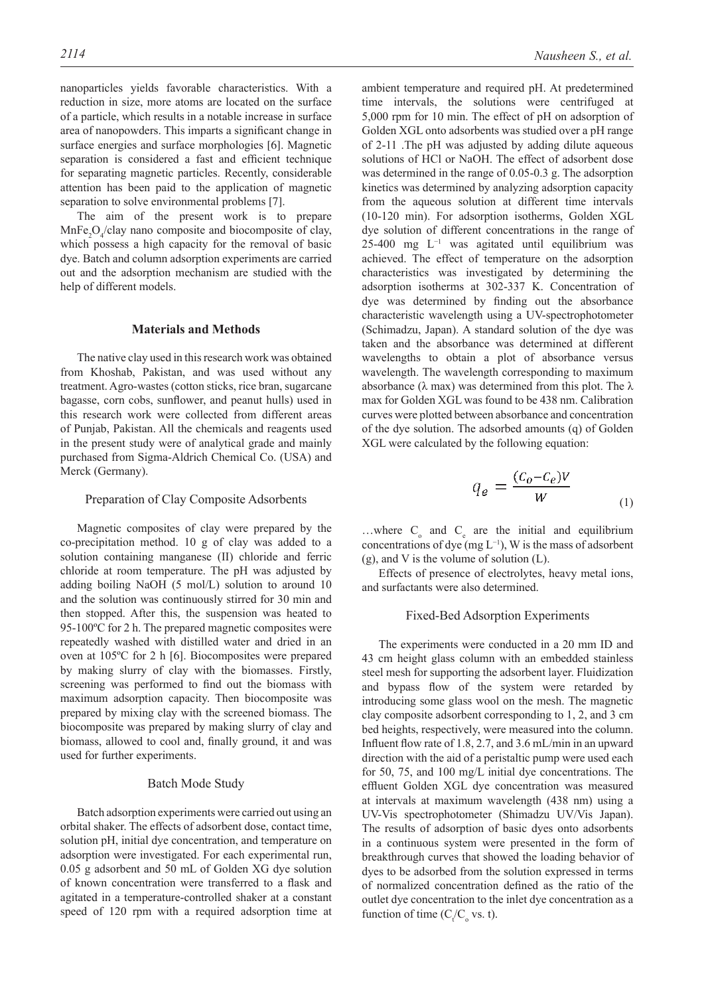nanoparticles yields favorable characteristics. With a reduction in size, more atoms are located on the surface of a particle, which results in a notable increase in surface area of nanopowders. This imparts a significant change in surface energies and surface morphologies [6]. Magnetic separation is considered a fast and efficient technique for separating magnetic particles. Recently, considerable attention has been paid to the application of magnetic separation to solve environmental problems [7].

The aim of the present work is to prepare  $MnFe<sub>2</sub>O<sub>4</sub>/clay$  nano composite and biocomposite of clay, which possess a high capacity for the removal of basic dye. Batch and column adsorption experiments are carried out and the adsorption mechanism are studied with the help of different models.

## **Materials and methods**

The native clay used in this research work was obtained from Khoshab, Pakistan, and was used without any treatment. Agro-wastes (cotton sticks, rice bran, sugarcane bagasse, corn cobs, sunflower, and peanut hulls) used in this research work were collected from different areas of Punjab, Pakistan. All the chemicals and reagents used in the present study were of analytical grade and mainly purchased from Sigma-Aldrich Chemical Co. (USA) and Merck (Germany).

#### Preparation of Clay Composite Adsorbents

Magnetic composites of clay were prepared by the co-precipitation method. 10 g of clay was added to a solution containing manganese (II) chloride and ferric chloride at room temperature. The pH was adjusted by adding boiling NaOH (5 mol/L) solution to around 10 and the solution was continuously stirred for 30 min and then stopped. After this, the suspension was heated to 95-100ºC for 2 h. The prepared magnetic composites were repeatedly washed with distilled water and dried in an oven at 105ºC for 2 h [6]. Biocomposites were prepared by making slurry of clay with the biomasses. Firstly, screening was performed to find out the biomass with maximum adsorption capacity. Then biocomposite was prepared by mixing clay with the screened biomass. The biocomposite was prepared by making slurry of clay and biomass, allowed to cool and, finally ground, it and was used for further experiments.

## Batch mode study

Batch adsorption experiments were carried out using an orbital shaker. The effects of adsorbent dose, contact time, solution pH, initial dye concentration, and temperature on adsorption were investigated. For each experimental run, 0.05 g adsorbent and 50 mL of Golden XG dye solution of known concentration were transferred to a flask and agitated in a temperature-controlled shaker at a constant speed of 120 rpm with a required adsorption time at ambient temperature and required pH. At predetermined time intervals, the solutions were centrifuged at 5,000 rpm for 10 min. The effect of pH on adsorption of Golden XGL onto adsorbents was studied over a pH range of 2-11 .The pH was adjusted by adding dilute aqueous solutions of HCl or NaOH. The effect of adsorbent dose was determined in the range of 0.05-0.3 g. The adsorption kinetics was determined by analyzing adsorption capacity from the aqueous solution at different time intervals (10-120 min). For adsorption isotherms, Golden XGL dye solution of different concentrations in the range of 25-400 mg L−1 was agitated until equilibrium was achieved. The effect of temperature on the adsorption characteristics was investigated by determining the adsorption isotherms at 302-337 K. Concentration of dye was determined by finding out the absorbance characteristic wavelength using a UV-spectrophotometer (Schimadzu, Japan). A standard solution of the dye was taken and the absorbance was determined at different wavelengths to obtain a plot of absorbance versus wavelength. The wavelength corresponding to maximum absorbance ( $\lambda$  max) was determined from this plot. The  $\lambda$ max for Golden XGL was found to be 438 nm. Calibration curves were plotted between absorbance and concentration of the dye solution. The adsorbed amounts (q) of Golden XGL were calculated by the following equation:

$$
q_e = \frac{(c_o - c_e)V}{W}
$$
 (1)

...where  $C_0$  and  $C_e$  are the initial and equilibrium concentrations of dye (mg L−1), W is the mass of adsorbent (g), and V is the volume of solution (L).

Effects of presence of electrolytes, heavy metal ions, and surfactants were also determined.

#### Fixed-Bed Adsorption Experiments

The experiments were conducted in a 20 mm ID and 43 cm height glass column with an embedded stainless steel mesh for supporting the adsorbent layer. Fluidization and bypass flow of the system were retarded by introducing some glass wool on the mesh. The magnetic clay composite adsorbent corresponding to 1, 2, and 3 cm bed heights, respectively, were measured into the column. Influent flow rate of 1.8, 2.7, and 3.6 mL/min in an upward direction with the aid of a peristaltic pump were used each for 50, 75, and 100 mg/L initial dye concentrations. The effluent Golden XGL dye concentration was measured at intervals at maximum wavelength (438 nm) using a UV-Vis spectrophotometer (Shimadzu UV/Vis Japan). The results of adsorption of basic dyes onto adsorbents in a continuous system were presented in the form of breakthrough curves that showed the loading behavior of dyes to be adsorbed from the solution expressed in terms of normalized concentration defined as the ratio of the outlet dye concentration to the inlet dye concentration as a function of time  $(C_{\tau}/C_{\sigma}$  vs. t).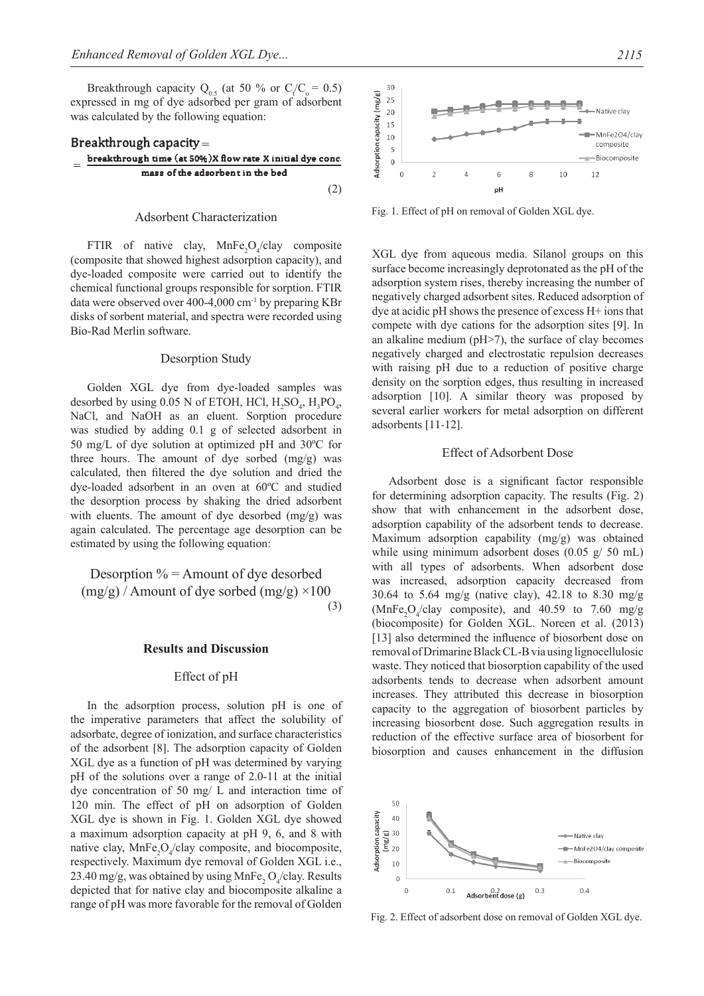Breakthrough capacity  $Q_{0.5}$  (at 50 % or  $C_{\ell}/C_{o} = 0.5$ ) expressed in mg of dye adsorbed per gram of adsorbent was calculated by the following equation:



#### Adsorbent characterization

FTIR of native clay,  $MnFe<sub>2</sub>O<sub>4</sub>/clay$  composite (composite that showed highest adsorption capacity), and dye-loaded composite were carried out to identify the chemical functional groups responsible for sorption. FTIR data were observed over 400-4,000 cm-1 by preparing KBr disks of sorbent material, and spectra were recorded using Bio-Rad Merlin software.

#### Desorption Study

Golden XGL dye from dye-loaded samples was desorbed by using 0.05 N of ETOH, HCl,  $H_2SO_4$ ,  $H_3PO_4$ , NaCl, and NaOH as an eluent. Sorption procedure was studied by adding 0.1 g of selected adsorbent in 50 mg/L of dye solution at optimized pH and 30ºC for three hours. The amount of dye sorbed  $(mg/g)$  was calculated, then filtered the dye solution and dried the dye-loaded adsorbent in an oven at 60ºC and studied the desorption process by shaking the dried adsorbent with eluents. The amount of dye desorbed (mg/g) was again calculated. The percentage age desorption can be estimated by using the following equation:

Desorption  $\%$  = Amount of dye desorbed  $(mg/g)$  / Amount of dye sorbed  $(mg/g) \times 100$ (3)

#### **Results and Discussion**

#### Effect of pH

In the adsorption process, solution pH is one of the imperative parameters that affect the solubility of adsorbate, degree of ionization, and surface characteristics of the adsorbent [8]. The adsorption capacity of Golden XGL dye as a function of pH was determined by varying pH of the solutions over a range of 2.0-11 at the initial dye concentration of 50 mg/ L and interaction time of 120 min. The effect of pH on adsorption of Golden XGL dye is shown in Fig. 1. Golden XGL dye showed a maximum adsorption capacity at pH 9, 6, and 8 with native clay,  $MnFe<sub>2</sub>O<sub>4</sub>/clay$  composite, and biocomposite, respectively. Maximum dye removal of Golden XGL i.e., 23.40 mg/g, was obtained by using  $MnFe<sub>2</sub>O<sub>4</sub>/clay$ . Results depicted that for native clay and biocomposite alkaline a range of pH was more favorable for the removal of Golden



Fig. 1. Effect of pH on removal of Golden XGL dye.

XGL dye from aqueous media. Silanol groups on this surface become increasingly deprotonated as the pH of the adsorption system rises, thereby increasing the number of negatively charged adsorbent sites. Reduced adsorption of dye at acidic pH shows the presence of excess H+ ions that compete with dye cations for the adsorption sites [9]. In an alkaline medium (pH>7), the surface of clay becomes negatively charged and electrostatic repulsion decreases with raising pH due to a reduction of positive charge density on the sorption edges, thus resulting in increased adsorption [10]. A similar theory was proposed by several earlier workers for metal adsorption on different adsorbents [11-12].

#### Effect of Adsorbent Dose

Adsorbent dose is a significant factor responsible for determining adsorption capacity. The results (Fig. 2) show that with enhancement in the adsorbent dose, adsorption capability of the adsorbent tends to decrease. Maximum adsorption capability (mg/g) was obtained while using minimum adsorbent doses (0.05 g/ 50 mL) with all types of adsorbents. When adsorbent dose was increased, adsorption capacity decreased from 30.64 to 5.64 mg/g (native clay), 42.18 to 8.30 mg/g  $(MnFe<sub>2</sub>O<sub>4</sub>/clay$  composite), and 40.59 to 7.60 mg/g (biocomposite) for Golden XGL. Noreen et al. (2013) [13] also determined the influence of biosorbent dose on removal of Drimarine Black CL-B via using lignocellulosic waste. They noticed that biosorption capability of the used adsorbents tends to decrease when adsorbent amount increases. They attributed this decrease in biosorption capacity to the aggregation of biosorbent particles by increasing biosorbent dose. Such aggregation results in reduction of the effective surface area of biosorbent for biosorption and causes enhancement in the diffusion



Fig. 2. Effect of adsorbent dose on removal of Golden XGL dye.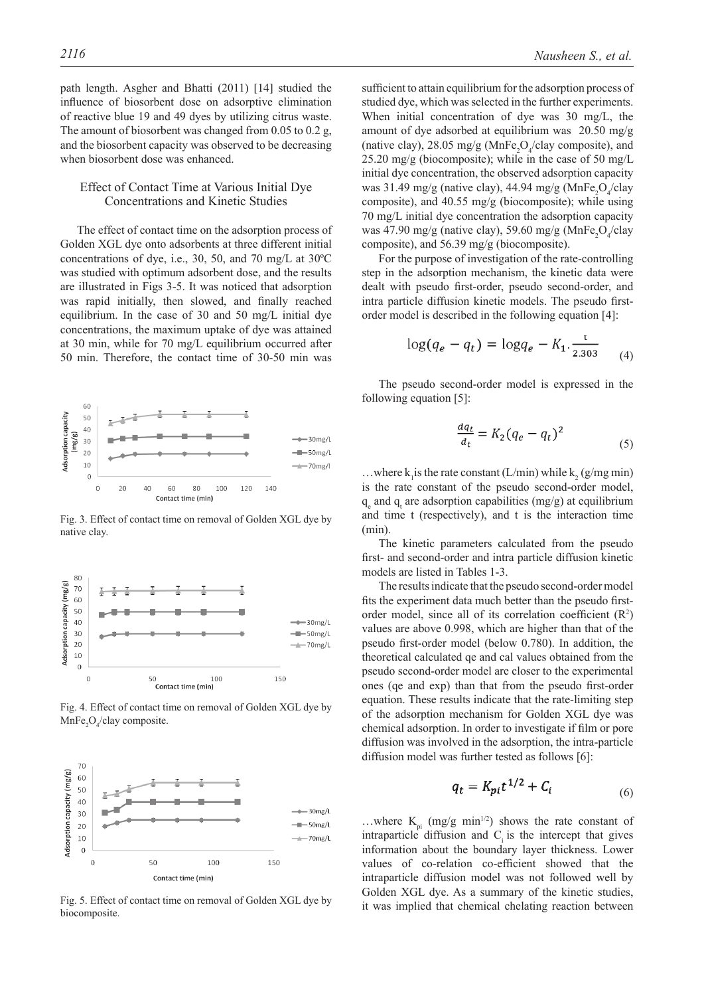path length. Asgher and Bhatti (2011) [14] studied the influence of biosorbent dose on adsorptive elimination of reactive blue 19 and 49 dyes by utilizing citrus waste. The amount of biosorbent was changed from 0.05 to 0.2 g, and the biosorbent capacity was observed to be decreasing when biosorbent dose was enhanced.

## Effect of Contact Time at Various Initial Dye concentrations and kinetic studies

The effect of contact time on the adsorption process of Golden XGL dye onto adsorbents at three different initial concentrations of dye, i.e., 30, 50, and 70 mg/L at 30ºC was studied with optimum adsorbent dose, and the results are illustrated in Figs 3-5. It was noticed that adsorption was rapid initially, then slowed, and finally reached equilibrium. In the case of 30 and 50 mg/L initial dye concentrations, the maximum uptake of dye was attained at 30 min, while for 70 mg/L equilibrium occurred after 50 min. Therefore, the contact time of 30-50 min was



Fig. 3. Effect of contact time on removal of Golden XGL dye by native clay.



Fig. 4. Effect of contact time on removal of Golden XGL dye by  $MnFe<sub>2</sub>O<sub>4</sub>/clay composite.$ 



Fig. 5. Effect of contact time on removal of Golden XGL dye by biocomposite.

sufficient to attain equilibrium for the adsorption process of studied dye, which was selected in the further experiments. When initial concentration of dye was 30 mg/L, the amount of dye adsorbed at equilibrium was 20.50 mg/g (native clay), 28.05 mg/g ( $MnFe<sub>2</sub>O<sub>4</sub>/clay$  composite), and 25.20 mg/g (biocomposite); while in the case of 50 mg/L initial dye concentration, the observed adsorption capacity was 31.49 mg/g (native clay), 44.94 mg/g (MnFe<sub>2</sub>O<sub>4</sub>/clay composite), and 40.55 mg/g (biocomposite); while using 70 mg/L initial dye concentration the adsorption capacity was 47.90 mg/g (native clay), 59.60 mg/g (MnFe<sub>2</sub>O<sub>4</sub>/clay composite), and 56.39 mg/g (biocomposite).

For the purpose of investigation of the rate-controlling step in the adsorption mechanism, the kinetic data were dealt with pseudo first-order, pseudo second-order, and intra particle diffusion kinetic models. The pseudo firstorder model is described in the following equation [4]:

$$
\log(q_e - q_t) = \log q_e - K_1 \cdot \frac{1}{2.303} \tag{4}
$$

The pseudo second-order model is expressed in the following equation [5]:

$$
\frac{dq_t}{d_t} = K_2 (q_e - q_t)^2 \tag{5}
$$

...where  $k_1$  is the rate constant (L/min) while  $k_2$  (g/mg min) is the rate constant of the pseudo second-order model,  $q_e$  and  $q_t$  are adsorption capabilities (mg/g) at equilibrium and time t (respectively), and t is the interaction time (min).

The kinetic parameters calculated from the pseudo first- and second-order and intra particle diffusion kinetic models are listed in Tables 1-3.

The results indicate that the pseudo second-order model fits the experiment data much better than the pseudo firstorder model, since all of its correlation coefficient  $(R<sup>2</sup>)$ values are above 0.998, which are higher than that of the pseudo first-order model (below 0.780). In addition, the theoretical calculated qe and cal values obtained from the pseudo second-order model are closer to the experimental ones (qe and exp) than that from the pseudo first-order equation. These results indicate that the rate-limiting step of the adsorption mechanism for Golden XGL dye was chemical adsorption. In order to investigate if film or pore diffusion was involved in the adsorption, the intra-particle diffusion model was further tested as follows [6]:

$$
q_t = K_{pi} t^{1/2} + C_i \tag{6}
$$

...where  $K_{pi}$  (mg/g min<sup>1/2</sup>) shows the rate constant of  $intraparticle$  diffusion and  $C<sub>i</sub>$  is the intercept that gives information about the boundary layer thickness. Lower values of co-relation co-efficient showed that the intraparticle diffusion model was not followed well by Golden XGL dye. As a summary of the kinetic studies, it was implied that chemical chelating reaction between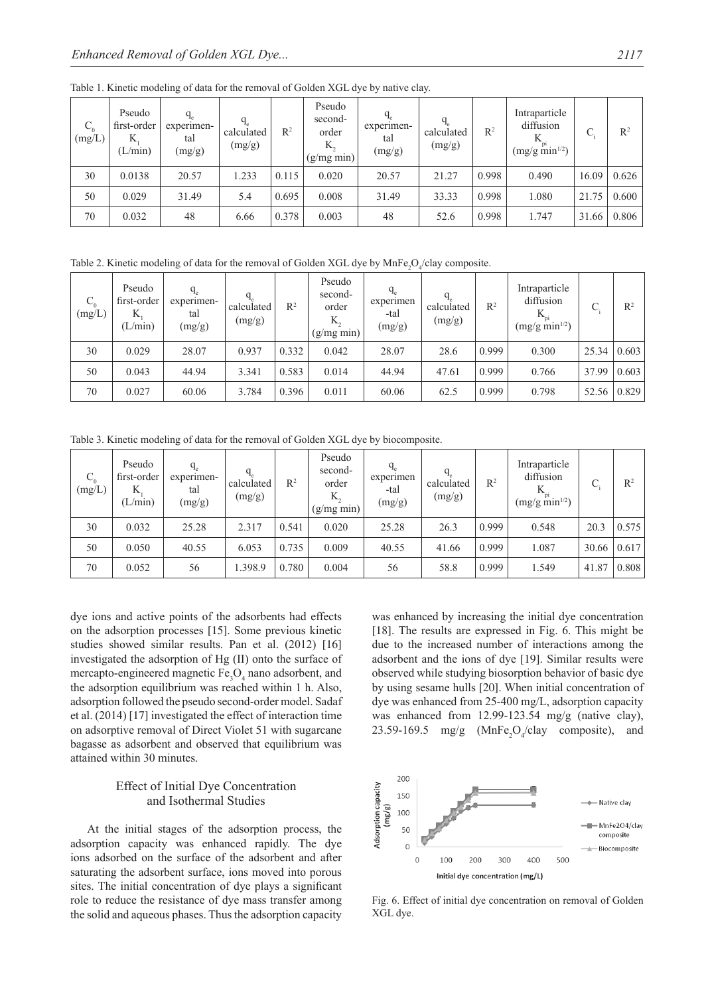| $C_{0}$<br>(mg/L) | Pseudo<br>first-order<br>K<br>(L/min) | $q_e$<br>experimen-<br>tal<br>(mg/g) | calculated<br>(mg/g) | $R^2$ | Pseudo<br>second-<br>order<br>Κ,<br>(g/mg min) | experimen-<br>tal<br>(mg/g) | $q_e$<br>calculated<br>(mg/g) | $R^2$ | Intraparticle<br>diffusion<br>$(mg/g \ min^{1/2})$ | ⌒<br>J. | $R^2$ |
|-------------------|---------------------------------------|--------------------------------------|----------------------|-------|------------------------------------------------|-----------------------------|-------------------------------|-------|----------------------------------------------------|---------|-------|
| 30                | 0.0138                                | 20.57                                | 1.233                | 0.115 | 0.020                                          | 20.57                       | 21.27                         | 0.998 | 0.490                                              | 16.09   | 0.626 |
| 50                | 0.029                                 | 31.49                                | 5.4                  | 0.695 | 0.008                                          | 31.49                       | 33.33                         | 0.998 | 1.080                                              | 21.75   | 0.600 |
| 70                | 0.032                                 | 48                                   | 6.66                 | 0.378 | 0.003                                          | 48                          | 52.6                          | 0.998 | 1.747                                              | 31.66   | 0.806 |

Table 1. Kinetic modeling of data for the removal of Golden XGL dye by native clay.

Table 2. Kinetic modeling of data for the removal of Golden XGL dye by  $MnFe<sub>2</sub>O<sub>4</sub>/clay$  composite.

| $C_{0}$<br>(mg/L) | Pseudo<br>first-order<br>K<br>(L/min) | $q_e$<br>experimen-<br>tal<br>(mg/g) | $q_e$<br>calculated<br>(mg/g) | $R^2$ | Pseudo<br>second-<br>order<br>K.<br>(g/mg min) | experimen<br>-tal<br>(mg/g) | calculated<br>(mg/g) | $R^2$ | Intraparticle<br>diffusion<br>$(mg/g \text{ min}^{1/2})$ | $\curvearrowright$<br>U. | $\mathbb{R}^2$ |
|-------------------|---------------------------------------|--------------------------------------|-------------------------------|-------|------------------------------------------------|-----------------------------|----------------------|-------|----------------------------------------------------------|--------------------------|----------------|
| 30                | 0.029                                 | 28.07                                | 0.937                         | 0.332 | 0.042                                          | 28.07                       | 28.6                 | 0.999 | 0.300                                                    | 25.34                    | 0.603          |
| 50                | 0.043                                 | 44.94                                | 3.341                         | 0.583 | 0.014                                          | 44.94                       | 47.61                | 0.999 | 0.766                                                    | 37.99                    | 0.603          |
| 70                | 0.027                                 | 60.06                                | 3.784                         | 0.396 | 0.011                                          | 60.06                       | 62.5                 | 0.999 | 0.798                                                    | 52.56                    | 0.829          |

Table 3. Kinetic modeling of data for the removal of Golden XGL dye by biocomposite.

| $C_{0}$<br>(mg/L) | Pseudo<br>first-order<br>K<br>(L/min) | experimen-<br>tal<br>(mg/g) | calculated<br>(mg/g) | $R^2$ | Pseudo<br>second-<br>order<br>K.<br>(g/mg min) | experimen<br>-tal<br>(mg/g) | calculated<br>(mg/g) | $R^2$ | Intraparticle<br>diffusion<br>$(mg/g \text{ min}^{1/2})$ | ⌒     | $\mathbb{R}^2$ |
|-------------------|---------------------------------------|-----------------------------|----------------------|-------|------------------------------------------------|-----------------------------|----------------------|-------|----------------------------------------------------------|-------|----------------|
| 30                | 0.032                                 | 25.28                       | 2.317                | 0.541 | 0.020                                          | 25.28                       | 26.3                 | 0.999 | 0.548                                                    | 20.3  | 0.575          |
| 50                | 0.050                                 | 40.55                       | 6.053                | 0.735 | 0.009                                          | 40.55                       | 41.66                | 0.999 | 1.087                                                    | 30.66 | 0.617          |
| 70                | 0.052                                 | 56                          | 1.398.9              | 0.780 | 0.004                                          | 56                          | 58.8                 | 0.999 | 1.549                                                    | 41.87 | 0.808          |

dye ions and active points of the adsorbents had effects on the adsorption processes [15]. Some previous kinetic studies showed similar results. Pan et al. (2012) [16] investigated the adsorption of Hg (II) onto the surface of mercapto-engineered magnetic  $Fe<sub>3</sub>O<sub>4</sub>$  nano adsorbent, and the adsorption equilibrium was reached within 1 h. Also, adsorption followed the pseudo second-order model. Sadaf et al. (2014) [17] investigated the effect of interaction time on adsorptive removal of Direct Violet 51 with sugarcane bagasse as adsorbent and observed that equilibrium was attained within 30 minutes.

## Effect of Initial Dye Concentration and Isothermal Studies

At the initial stages of the adsorption process, the adsorption capacity was enhanced rapidly. The dye ions adsorbed on the surface of the adsorbent and after saturating the adsorbent surface, ions moved into porous sites. The initial concentration of dye plays a significant role to reduce the resistance of dye mass transfer among the solid and aqueous phases. Thus the adsorption capacity was enhanced by increasing the initial dye concentration [18]. The results are expressed in Fig. 6. This might be due to the increased number of interactions among the adsorbent and the ions of dye [19]. Similar results were observed while studying biosorption behavior of basic dye by using sesame hulls [20]. When initial concentration of dye was enhanced from 25-400 mg/L, adsorption capacity was enhanced from 12.99-123.54 mg/g (native clay), 23.59-169.5 mg/g  $(MnFe<sub>2</sub>O<sub>4</sub>/clay$  composite), and



Fig. 6. Effect of initial dye concentration on removal of Golden XGL dye.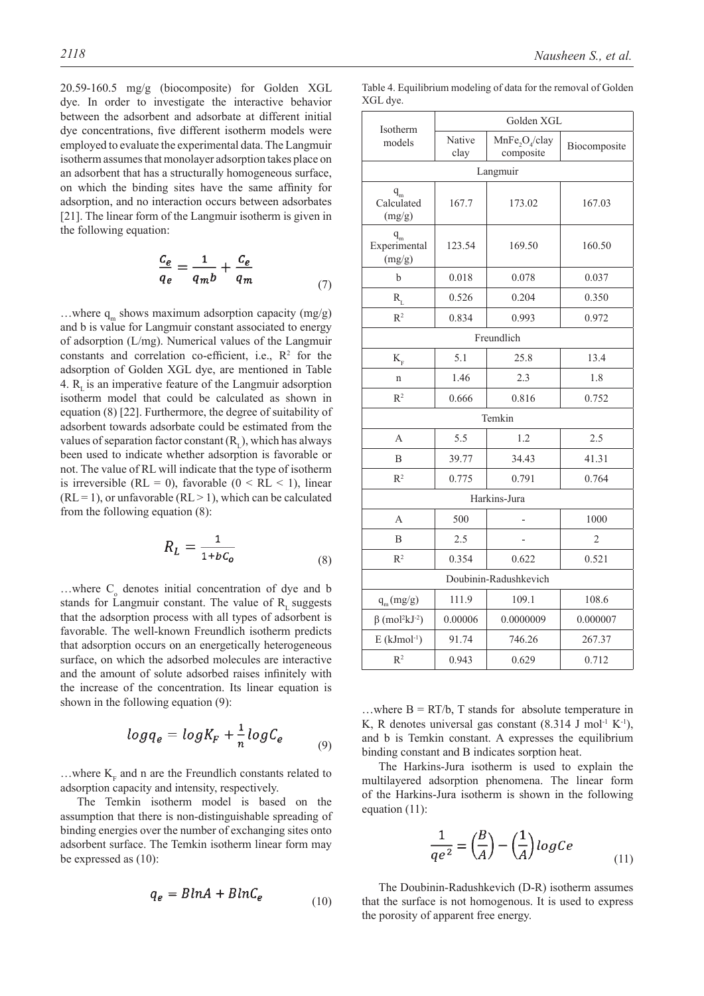20.59-160.5 mg/g (biocomposite) for Golden XGL dye. In order to investigate the interactive behavior between the adsorbent and adsorbate at different initial dye concentrations, five different isotherm models were employed to evaluate the experimental data. The Langmuir isotherm assumes that monolayer adsorption takes place on an adsorbent that has a structurally homogeneous surface, on which the binding sites have the same affinity for adsorption, and no interaction occurs between adsorbates [21]. The linear form of the Langmuir isotherm is given in the following equation:

$$
\frac{c_e}{q_e} = \frac{1}{q_m b} + \frac{c_e}{q_m} \tag{7}
$$

...where  $q_m$  shows maximum adsorption capacity (mg/g) and b is value for Langmuir constant associated to energy of adsorption (L/mg). Numerical values of the Langmuir constants and correlation co-efficient, i.e.,  $\mathbb{R}^2$  for the adsorption of Golden XGL dye, are mentioned in Table 4.  $R_{i}$  is an imperative feature of the Langmuir adsorption isotherm model that could be calculated as shown in equation (8) [22]. Furthermore, the degree of suitability of adsorbent towards adsorbate could be estimated from the values of separation factor constant  $(R<sub>r</sub>)$ , which has always been used to indicate whether adsorption is favorable or not. The value of RL will indicate that the type of isotherm is irreversible (RL = 0), favorable ( $0 < RL < 1$ ), linear  $(RL = 1)$ , or unfavorable  $(RL > 1)$ , which can be calculated from the following equation (8):

$$
R_L = \frac{1}{1 + bC_o} \tag{8}
$$

 $\dots$  where  $C_0$  denotes initial concentration of dye and b stands for Langmuir constant. The value of  $R<sub>r</sub>$  suggests that the adsorption process with all types of adsorbent is favorable. The well-known Freundlich isotherm predicts that adsorption occurs on an energetically heterogeneous surface, on which the adsorbed molecules are interactive and the amount of solute adsorbed raises infinitely with the increase of the concentration. Its linear equation is shown in the following equation (9):

$$
log q_e = log K_F + \frac{1}{n} log C_e
$$
 (9)

...where  $K_F$  and n are the Freundlich constants related to adsorption capacity and intensity, respectively.

The Temkin isotherm model is based on the assumption that there is non-distinguishable spreading of binding energies over the number of exchanging sites onto adsorbent surface. The Temkin isotherm linear form may be expressed as (10):

$$
q_e = B \ln A + B \ln C_e \tag{10}
$$

|          | Table 4. Equilibrium modeling of data for the removal of Golden |  |  |  |
|----------|-----------------------------------------------------------------|--|--|--|
| XGL dye. |                                                                 |  |  |  |

| Isotherm                                        | Golden XGL     |                                                     |                |  |
|-------------------------------------------------|----------------|-----------------------------------------------------|----------------|--|
| models                                          | Native<br>clay | MnFe <sub>2</sub> O <sub>4</sub> /clay<br>composite | Biocomposite   |  |
|                                                 |                | Langmuir                                            |                |  |
| $q_m$<br>Calculated<br>(mg/g)                   | 167.7          | 173.02                                              | 167.03         |  |
| $\textbf{q}_\text{m}$<br>Experimental<br>(mg/g) | 123.54         | 169.50                                              | 160.50         |  |
| $\mathbf b$                                     | 0.018          | 0.078                                               | 0.037          |  |
| $\rm R_{L}$                                     | 0.526          | 0.204                                               | 0.350          |  |
| R <sup>2</sup>                                  | 0.834          | 0.993                                               | 0.972          |  |
|                                                 |                | Freundlich                                          |                |  |
| $\mathbf{K}_{\rm\scriptscriptstyle F}$          | 5.1            | 25.8                                                | 13.4           |  |
| $\mathbf n$                                     | 1.46           | 2.3                                                 | 1.8            |  |
| R <sup>2</sup>                                  | 0.666          | 0.816                                               | 0.752          |  |
|                                                 |                | Temkin                                              |                |  |
| A                                               | 5.5            | 1.2                                                 | 2.5            |  |
| B                                               | 39.77          | 34.43                                               | 41.31          |  |
| R <sup>2</sup>                                  | 0.775          | 0.791                                               | 0.764          |  |
|                                                 |                | Harkins-Jura                                        |                |  |
| A                                               | 500            |                                                     | 1000           |  |
| B                                               | 2.5            |                                                     | $\mathfrak{D}$ |  |
| R <sup>2</sup>                                  | 0.354          | 0.622                                               | 0.521          |  |
|                                                 |                | Doubinin-Radushkevich                               |                |  |
| $q_m(mg/g)$                                     | 111.9          | 109.1                                               | 108.6          |  |
| $\beta$ (mol <sup>2</sup> kJ <sup>-2</sup> )    | 0.00006        | 0.0000009                                           | 0.000007       |  |
| $E$ (kJmol $-1$ )                               | 91.74          | 746.26                                              | 267.37         |  |
| R <sup>2</sup>                                  | 0.943          | 0.629                                               | 0.712          |  |

...where  $B = RT/b$ , T stands for absolute temperature in K, R denotes universal gas constant  $(8.314 \text{ J mol}^{-1} \text{ K}^{-1})$ , and b is Temkin constant. A expresses the equilibrium binding constant and B indicates sorption heat.

The Harkins-Jura isotherm is used to explain the multilayered adsorption phenomena. The linear form of the Harkins-Jura isotherm is shown in the following equation (11):

$$
\frac{1}{qe^2} = \left(\frac{B}{A}\right) - \left(\frac{1}{A}\right) \log Ce \tag{11}
$$

The Doubinin-Radushkevich (D-R) isotherm assumes that the surface is not homogenous. It is used to express the porosity of apparent free energy.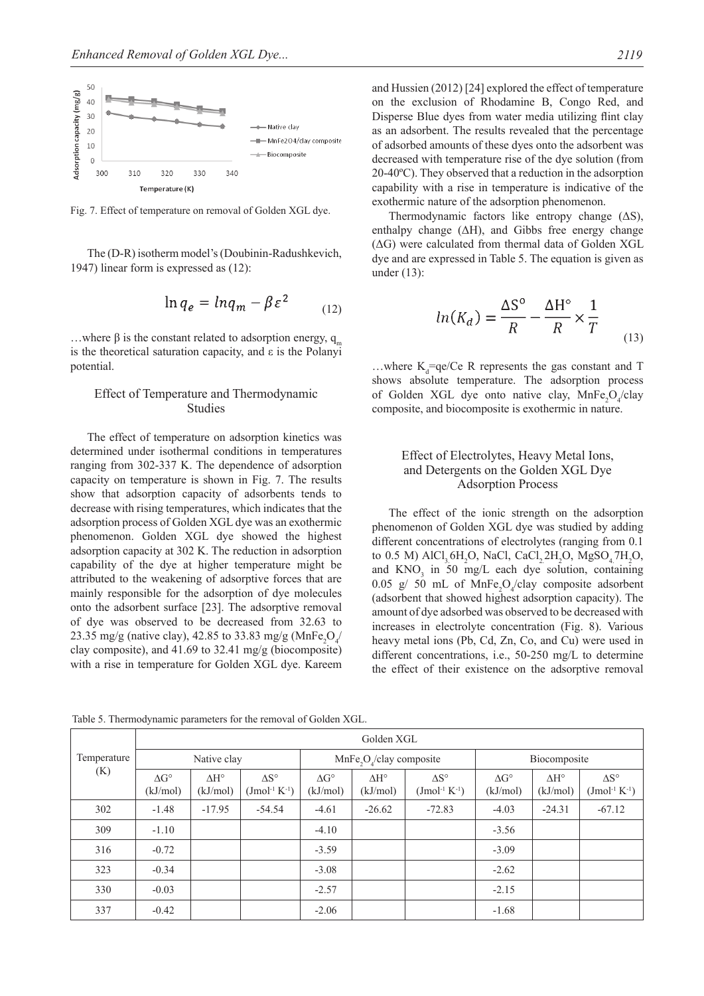

Fig. 7. Effect of temperature on removal of Golden XGL dye.

The (D-R) isotherm model's (Doubinin-Radushkevich, 1947) linear form is expressed as (12):

$$
\ln q_e = \ln q_m - \beta \varepsilon^2 \tag{12}
$$

...where β is the constant related to adsorption energy,  $q_m$ is the theoretical saturation capacity, and ε is the Polanyi potential.

## Effect of Temperature and Thermodynamic studies

The effect of temperature on adsorption kinetics was determined under isothermal conditions in temperatures ranging from 302-337 K. The dependence of adsorption capacity on temperature is shown in Fig. 7. The results show that adsorption capacity of adsorbents tends to decrease with rising temperatures, which indicates that the adsorption process of Golden XGL dye was an exothermic phenomenon. Golden XGL dye showed the highest adsorption capacity at 302 K. The reduction in adsorption capability of the dye at higher temperature might be attributed to the weakening of adsorptive forces that are mainly responsible for the adsorption of dye molecules onto the adsorbent surface [23]. The adsorptive removal of dye was observed to be decreased from 32.63 to 23.35 mg/g (native clay), 42.85 to 33.83 mg/g (MnFe<sub>2</sub>O<sub>4</sub>/ clay composite), and 41.69 to 32.41 mg/g (biocomposite) with a rise in temperature for Golden XGL dye. Kareem

Table 5. Thermodynamic parameters for the removal of Golden XGL.

and Hussien (2012) [24] explored the effect of temperature on the exclusion of Rhodamine B, Congo Red, and Disperse Blue dyes from water media utilizing flint clay as an adsorbent. The results revealed that the percentage of adsorbed amounts of these dyes onto the adsorbent was decreased with temperature rise of the dye solution (from 20-40ºC). They observed that a reduction in the adsorption capability with a rise in temperature is indicative of the exothermic nature of the adsorption phenomenon.

Thermodynamic factors like entropy change  $( \Delta S)$ , enthalpy change  $(ΔH)$ , and Gibbs free energy change (ΔG) were calculated from thermal data of Golden XGL dye and are expressed in Table 5. The equation is given as under (13):

$$
ln(K_d) = \frac{\Delta S^{\circ}}{R} - \frac{\Delta H^{\circ}}{R} \times \frac{1}{T}
$$
 (13)

...where  $K_d = qe/Ce$  R represents the gas constant and T shows absolute temperature. The adsorption process of Golden XGL dye onto native clay,  $MnFe<sub>2</sub>O<sub>4</sub>/clay$ composite, and biocomposite is exothermic in nature.

## Effect of Electrolytes, Heavy Metal Ions, and Detergents on the Golden XGL Dye **Adsorption Process**

The effect of the ionic strength on the adsorption phenomenon of Golden XGL dye was studied by adding different concentrations of electrolytes (ranging from 0.1 to 0.5 M)  $AICI_3 6H_2O$ , NaCl,  $CaCl_2 2H_2O$ ,  $MgSO_4 7H_2O$ , and  $KNO<sub>3</sub>$  in 50 mg/L each dye solution, containing 0.05 g/ 50 mL of  $MnFe<sub>2</sub>O<sub>4</sub>/clay$  composite adsorbent (adsorbent that showed highest adsorption capacity). The amount of dye adsorbed was observed to be decreased with increases in electrolyte concentration (Fig. 8). Various heavy metal ions (Pb, Cd, Zn, Co, and Cu) were used in different concentrations, i.e., 50-250 mg/L to determine the effect of their existence on the adsorptive removal

Golden XGL

| Temperature<br>(K) | Native clay                    |                                      |                                             | $MnFe2O4/clay composite$       |                                |                                       | Biocomposite                   |                                      |                                              |  |
|--------------------|--------------------------------|--------------------------------------|---------------------------------------------|--------------------------------|--------------------------------|---------------------------------------|--------------------------------|--------------------------------------|----------------------------------------------|--|
|                    | $\Delta G^{\circ}$<br>(kJ/mol) | $\Lambda$ H <sup>o</sup><br>(kJ/mol) | $\Lambda S^{\circ}$<br>$(Jmol^{-1} K^{-1})$ | $\Delta G^{\circ}$<br>(kJ/mol) | $\Delta H^{\circ}$<br>(kJ/mol) | $\Delta S^{\circ}$<br>$( Jmol-1 K-1)$ | $\Delta G^{\circ}$<br>(kJ/mol) | $\Lambda$ H <sup>o</sup><br>(kJ/mol) | $\Delta S^{\circ}$<br>$( J mol^{-1} K^{-1})$ |  |
| 302                | $-1.48$                        | $-17.95$                             | $-54.54$                                    | $-4.61$                        | $-26.62$                       | $-72.83$                              | $-4.03$                        | $-24.31$                             | $-67.12$                                     |  |
| 309                | $-1.10$                        |                                      |                                             | $-4.10$                        |                                |                                       | $-3.56$                        |                                      |                                              |  |
| 316                | $-0.72$                        |                                      |                                             | $-3.59$                        |                                |                                       | $-3.09$                        |                                      |                                              |  |
| 323                | $-0.34$                        |                                      |                                             | $-3.08$                        |                                |                                       | $-2.62$                        |                                      |                                              |  |
| 330                | $-0.03$                        |                                      |                                             | $-2.57$                        |                                |                                       | $-2.15$                        |                                      |                                              |  |
| 337                | $-0.42$                        |                                      |                                             | $-2.06$                        |                                |                                       | $-1.68$                        |                                      |                                              |  |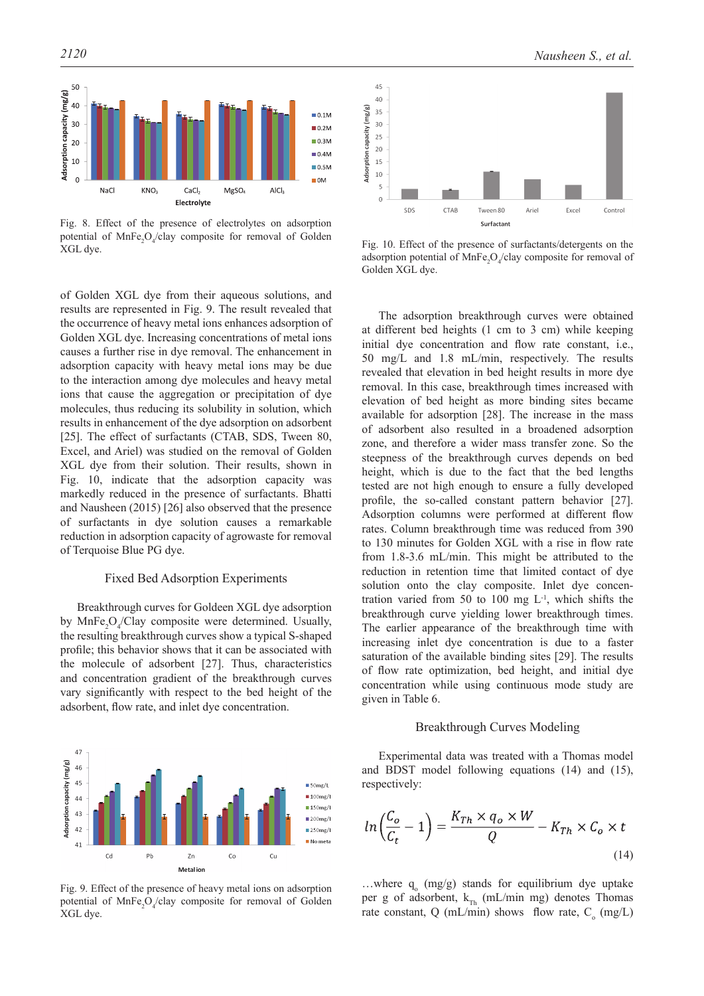

Fig. 8. Effect of the presence of electrolytes on adsorption potential of  $MnFe<sub>2</sub>O<sub>4</sub>/clay$  composite for removal of Golden  $XGL$  dye.<br>  $XGL$  dye.<br>  $XGL$  dye.

of Golden XGL dye from their aqueous solutions, and results are represented in Fig. 9. The result revealed that the occurrence of heavy metal ions enhances adsorption of Golden XGL dye. Increasing concentrations of metal ions causes a further rise in dye removal. The enhancement in adsorption capacity with heavy metal ions may be due to the interaction among dye molecules and heavy metal ions that cause the aggregation or precipitation of dye molecules, thus reducing its solubility in solution, which results in enhancement of the dye adsorption on adsorbent [25]. The effect of surfactants (CTAB, SDS, Tween 80, Excel, and Ariel) was studied on the removal of Golden XGL dye from their solution. Their results, shown in Fig. 10, indicate that the adsorption capacity was markedly reduced in the presence of surfactants. Bhatti and Nausheen (2015) [26] also observed that the presence of surfactants in dye solution causes a remarkable reduction in adsorption capacity of agrowaste for removal of Terquoise Blue PG dye.

## Fixed Bed Adsorption Experiments

Breakthrough curves for Goldeen XGL dye adsorption by  $MnFe<sub>2</sub>O<sub>4</sub>/Clay$  composite were determined. Usually, the resulting breakthrough curves show a typical S-shaped profile; this behavior shows that it can be associated with the molecule of adsorbent [27]. Thus, characteristics and concentration gradient of the breakthrough curves vary significantly with respect to the bed height of the adsorbent, flow rate, and inlet dye concentration.



Fig. 9. Effect of the presence of heavy metal ions on adsorption potential of  $MnFe<sub>2</sub>O<sub>4</sub>/clay$  composite for removal of Golden XGL dye.



adsorption potential of  $MnFe<sub>2</sub>O<sub>4</sub>/clay$  composite for removal of Golden XGL dye.

The adsorption breakthrough curves were obtained at different bed heights (1 cm to 3 cm) while keeping initial dye concentration and flow rate constant, i.e., 50 mg/L and 1.8 mL/min, respectively. The results revealed that elevation in bed height results in more dye removal. In this case, breakthrough times increased with elevation of bed height as more binding sites became available for adsorption [28]. The increase in the mass of adsorbent also resulted in a broadened adsorption zone, and therefore a wider mass transfer zone. So the steepness of the breakthrough curves depends on bed height, which is due to the fact that the bed lengths tested are not high enough to ensure a fully developed profile, the so-called constant pattern behavior [27]. Adsorption columns were performed at different flow rates. Column breakthrough time was reduced from 390 to 130 minutes for Golden XGL with a rise in flow rate from 1.8-3.6 mL/min. This might be attributed to the reduction in retention time that limited contact of dye solution onto the clay composite. Inlet dye concentration varied from 50 to 100 mg  $L^{-1}$ , which shifts the breakthrough curve yielding lower breakthrough times. The earlier appearance of the breakthrough time with increasing inlet dye concentration is due to a faster saturation of the available binding sites [29]. The results of flow rate optimization, bed height, and initial dye concentration while using continuous mode study are given in Table 6.

#### Breakthrough Curves Modeling

Experimental data was treated with a Thomas model and BDST model following equations (14) and (15), respectively:

$$
ln\left(\frac{C_o}{C_t} - 1\right) = \frac{K_{Th} \times q_o \times W}{Q} - K_{Th} \times C_o \times t
$$
\n(14)

...where  $q_0$  (mg/g) stands for equilibrium dye uptake per g of adsorbent,  $k_{Th}$  (mL/min mg) denotes Thomas rate constant, Q (mL/min) shows flow rate,  $C_0$  (mg/L)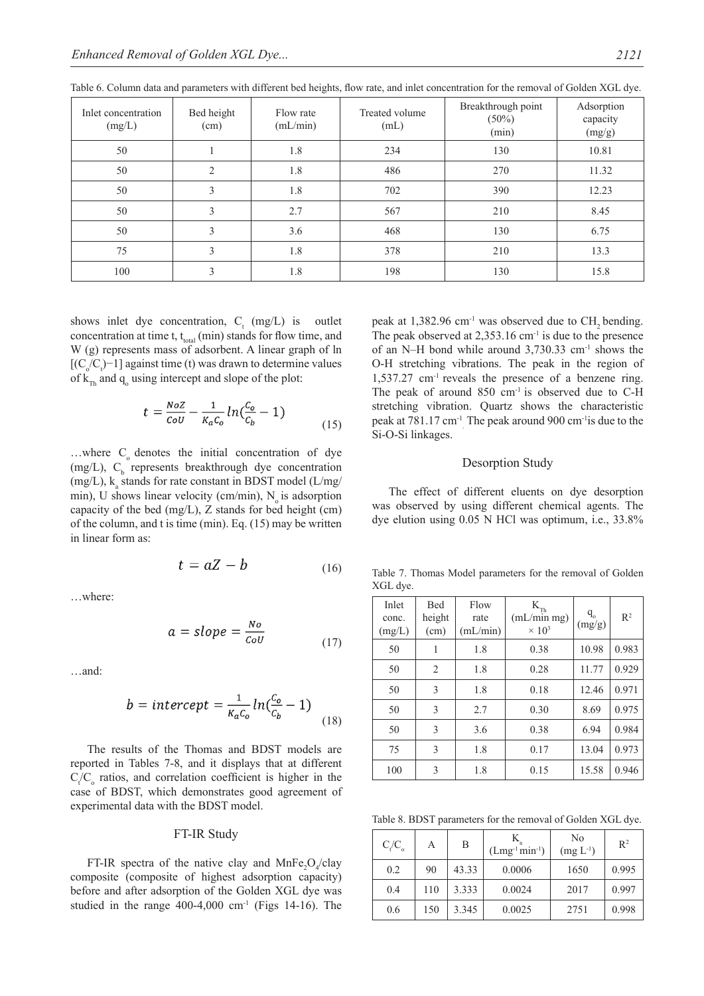| Inlet concentration<br>(mg/L) | Bed height<br>(cm) | Flow rate<br>(mL/min) | Treated volume<br>(mL) | Breakthrough point<br>$(50\%)$<br>(min) | Adsorption<br>capacity<br>(mg/g) |
|-------------------------------|--------------------|-----------------------|------------------------|-----------------------------------------|----------------------------------|
| 50                            |                    | 1.8                   | 234                    | 130                                     | 10.81                            |
| 50                            | 2                  | 1.8                   | 486                    | 270                                     | 11.32                            |
| 50                            | 3                  | 1.8                   | 702                    | 390                                     | 12.23                            |
| 50                            | 3                  | 2.7                   | 567                    | 210                                     | 8.45                             |
| 50                            | 3                  | 3.6                   | 468                    | 130                                     | 6.75                             |
| 75                            | 3                  | 1.8                   | 378                    | 210                                     | 13.3                             |
| 100                           | 3                  | 1.8                   | 198                    | 130                                     | 15.8                             |

Table 6. Column data and parameters with different bed heights, flow rate, and inlet concentration for the removal of Golden XGL dye.

shows inlet dye concentration,  $C_t$  (mg/L) is outlet concentration at time t,  $t_{total}$  (min) stands for flow time, and W (g) represents mass of adsorbent. A linear graph of ln  $[(C_o/C<sub>t</sub>)-1]$  against time (t) was drawn to determine values of  $k_{Th}$  and  $q_o$  using intercept and slope of the plot:

$$
t = \frac{Noz}{\omega U} - \frac{1}{K_a C_o} \ln(\frac{C_o}{C_b} - 1)
$$
\n(15)

...where  $C_0$  denotes the initial concentration of dye (mg/L),  $C_b$  represents breakthrough dye concentration (mg/L),  $k_a$  stands for rate constant in BDST model (L/mg/ min), U shows linear velocity (cm/min),  $N_a$  is adsorption capacity of the bed (mg/L), Z stands for bed height (cm) of the column, and t is time (min). Eq. (15) may be written in linear form as:

$$
t = aZ - b \tag{16}
$$

…where:

$$
a = slope = \frac{No}{\text{Cov}}
$$
 (17)

…and:

$$
b = intercept = \frac{1}{\kappa_a c_o} ln(\frac{c_o}{c_b} - 1)
$$
\n(18)

The results of the Thomas and BDST models are reported in Tables 7-8, and it displays that at different  $C_t/C_o$  ratios, and correlation coefficient is higher in the case of BDST, which demonstrates good agreement of experimental data with the BDST model.

## FT-IR Study

FT-IR spectra of the native clay and  $MnFe<sub>2</sub>O<sub>4</sub>/clay$ composite (composite of highest adsorption capacity) before and after adsorption of the Golden XGL dye was studied in the range  $400-4,000$  cm<sup>-1</sup> (Figs 14-16). The

peak at  $1,382.96$  cm<sup>-1</sup> was observed due to CH<sub>2</sub> bending. The peak observed at  $2,353.16$  cm<sup>-1</sup> is due to the presence of an N–H bond while around  $3,730.33$  cm<sup>-1</sup> shows the O-H stretching vibrations. The peak in the region of  $1,537.27$  cm<sup>-1</sup> reveals the presence of a benzene ring. The peak of around  $850 \text{ cm}^{-1}$  is observed due to C-H stretching vibration. Quartz shows the characteristic peak at 781.17 cm<sup>-1</sup> The peak around 900 cm<sup>-1</sup> is due to the Si-O-Si linkages.

#### Desorption Study

The effect of different eluents on dye desorption was observed by using different chemical agents. The dye elution using 0.05 N HCl was optimum, i.e., 33.8%

Table 7. Thomas Model parameters for the removal of Golden XGL dye.

| Inlet<br>conc.<br>(mg/L) | <b>Bed</b><br>height<br>(cm) | Flow<br>rate<br>(mL/min) | $\mathbf{K}_{\text{Th}}$<br>(mL/min mg)<br>$\times 10^3$ | $q_{o}$<br>(mg/g) | $R^2$ |
|--------------------------|------------------------------|--------------------------|----------------------------------------------------------|-------------------|-------|
| 50                       | 1                            | 1.8                      | 0.38                                                     | 10.98             | 0.983 |
| 50                       | 2                            | 1.8                      | 0.28                                                     | 11.77             | 0.929 |
| 50                       | 3                            | 1.8                      | 0.18                                                     | 12.46             | 0.971 |
| 50                       | 3                            | 2.7                      | 0.30                                                     | 8.69              | 0.975 |
| 50                       | 3                            | 3.6                      | 0.38                                                     | 6.94              | 0.984 |
| 75                       | 3                            | 1.8                      | 0.17                                                     | 13.04             | 0.973 |
| 100                      | 3                            | 1.8                      | 0.15                                                     | 15.58             | 0.946 |

Table 8. BDST parameters for the removal of Golden XGL dye.

| $C_{\rm t}/C_{\rm o}$ | А   | B     | $(Lmg^{-1}min^{-1})$ | No<br>$(mg L^{-1})$ | $R^2$ |
|-----------------------|-----|-------|----------------------|---------------------|-------|
| 0.2                   | 90  | 43.33 | 0.0006               | 1650                | 0.995 |
| 0.4                   | 110 | 3.333 | 0.0024               | 2017                | 0.997 |
| 0.6                   | 150 | 3.345 | 0.0025               | 2751                | 0.998 |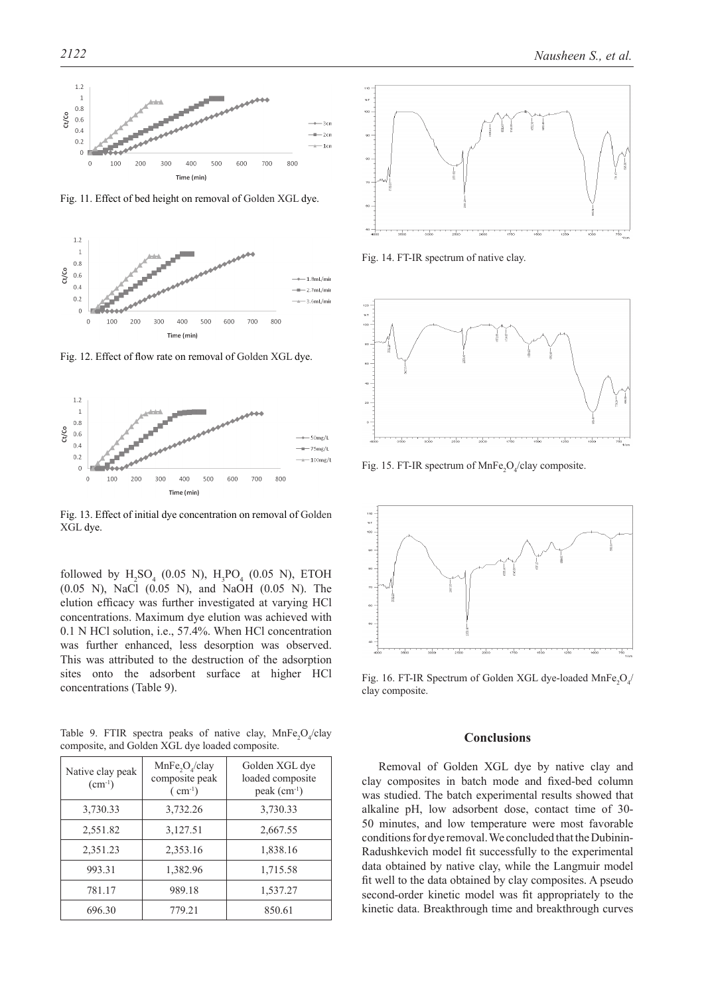

Fig. 11. Effect of bed height on removal of Golden XGL dye.



Fig. 12. Effect of flow rate on removal of Golden XGL dye.



Fig. 13. Effect of initial dye concentration on removal of Golden XGL dye.

followed by  $H_2SO_4$  (0.05 N),  $H_3PO_4$  (0.05 N), ETOH (0.05 N), NaCl (0.05 N), and NaOH (0.05 N). The elution efficacy was further investigated at varying HCl concentrations. Maximum dye elution was achieved with 0.1 N HCl solution, i.e., 57.4%. When HCl concentration was further enhanced, less desorption was observed. This was attributed to the destruction of the adsorption sites onto the adsorbent surface at higher HCl concentrations (Table 9).

Table 9. FTIR spectra peaks of native clay,  $MnFe<sub>2</sub>O<sub>4</sub>/clay$ composite, and Golden XGL dye loaded composite.

| Native clay peak<br>$(cm^{-1})$ | MnFe <sub>2</sub> O <sub>4</sub> /clay<br>composite peak<br>$\text{ ( cm}^{-1}\text{)}$ | Golden XGL dye<br>loaded composite<br>$peak (cm-1)$ |
|---------------------------------|-----------------------------------------------------------------------------------------|-----------------------------------------------------|
| 3,730.33                        | 3,732.26                                                                                | 3,730.33                                            |
| 2,551.82                        | 3,127.51                                                                                | 2,667.55                                            |
| 2,351.23                        | 2,353.16                                                                                | 1,838.16                                            |
| 993.31                          | 1,382.96                                                                                | 1,715.58                                            |
| 781.17                          | 989.18                                                                                  | 1,537.27                                            |
| 696.30                          | 779.21                                                                                  | 850.61                                              |



Fig. 14. FT-IR spectrum of native clay.



Fig. 15. FT-IR spectrum of  $MnFe<sub>2</sub>O<sub>4</sub>/clay$  composite.



Fig. 16. FT-IR Spectrum of Golden XGL dye-loaded  $\text{MnFe}_2\text{O}_4/$ clay composite.

#### **Conclusions**

Removal of Golden XGL dye by native clay and clay composites in batch mode and fixed-bed column was studied. The batch experimental results showed that alkaline pH, low adsorbent dose, contact time of 30- 50 minutes, and low temperature were most favorable conditions for dye removal. We concluded that the Dubinin-Radushkevich model fit successfully to the experimental data obtained by native clay, while the Langmuir model fit well to the data obtained by clay composites. A pseudo second-order kinetic model was fit appropriately to the kinetic data. Breakthrough time and breakthrough curves